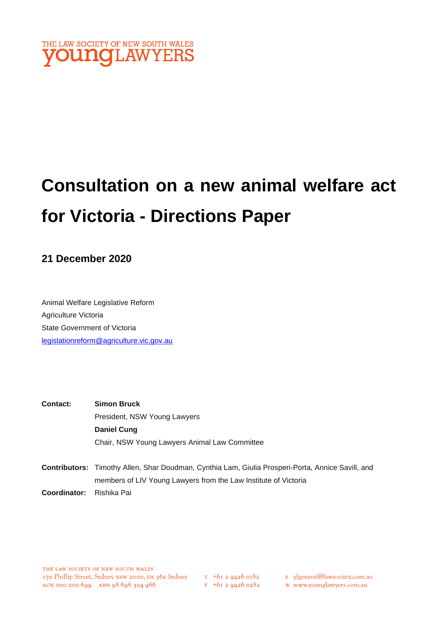

# **Consultation on a new animal welfare act for Victoria - Directions Paper**

## **21 December 2020**

Animal Welfare Legislative Reform Agriculture Victoria State Government of Victoria [legislationreform@agriculture.vic.gov.au](mailto:legislationreform@agriculture.vic.gov.au)

**Contact: Simon Bruck** President, NSW Young Lawyers **Daniel Cung** Chair, NSW Young Lawyers Animal Law Committee

**Contributors:** Timothy Allen, Shar Doudman, Cynthia Lam, Giulia Prosperi-Porta, Annice Savill, and members of LIV Young Lawyers from the Law Institute of Victoria **Coordinator:** Rishika Pai

 $F + 6I$  2 9926 0282

- E ylgeneral@lawsociety.com.au
	- w www.younglawyers.com.au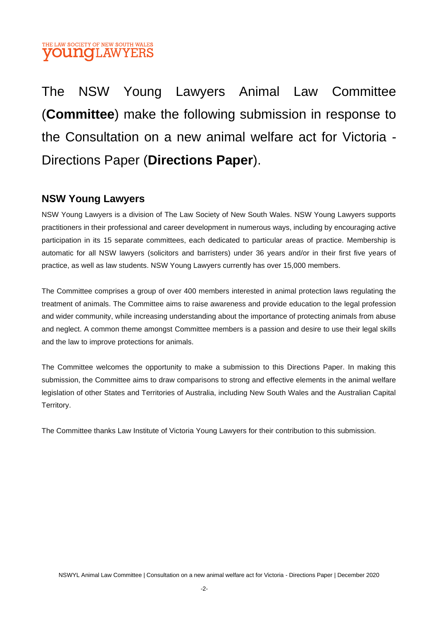

The NSW Young Lawyers Animal Law Committee (**Committee**) make the following submission in response to the Consultation on a new animal welfare act for Victoria - Directions Paper (**Directions Paper**).

## **NSW Young Lawyers**

NSW Young Lawyers is a division of The Law Society of New South Wales. NSW Young Lawyers supports practitioners in their professional and career development in numerous ways, including by encouraging active participation in its 15 separate committees, each dedicated to particular areas of practice. Membership is automatic for all NSW lawyers (solicitors and barristers) under 36 years and/or in their first five years of practice, as well as law students. NSW Young Lawyers currently has over 15,000 members.

The Committee comprises a group of over 400 members interested in animal protection laws regulating the treatment of animals. The Committee aims to raise awareness and provide education to the legal profession and wider community, while increasing understanding about the importance of protecting animals from abuse and neglect. A common theme amongst Committee members is a passion and desire to use their legal skills and the law to improve protections for animals.

The Committee welcomes the opportunity to make a submission to this Directions Paper. In making this submission, the Committee aims to draw comparisons to strong and effective elements in the animal welfare legislation of other States and Territories of Australia, including New South Wales and the Australian Capital Territory.

The Committee thanks Law Institute of Victoria Young Lawyers for their contribution to this submission.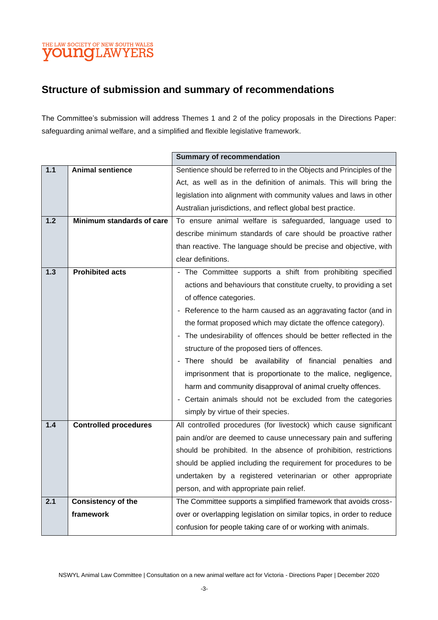# THE LAW SOCIETY OF NEW SOUTH WALES

# **Structure of submission and summary of recommendations**

The Committee's submission will address Themes 1 and 2 of the policy proposals in the Directions Paper: safeguarding animal welfare, and a simplified and flexible legislative framework.

|     |                              | <b>Summary of recommendation</b>                                      |
|-----|------------------------------|-----------------------------------------------------------------------|
| 1.1 | <b>Animal sentience</b>      | Sentience should be referred to in the Objects and Principles of the  |
|     |                              | Act, as well as in the definition of animals. This will bring the     |
|     |                              | legislation into alignment with community values and laws in other    |
|     |                              | Australian jurisdictions, and reflect global best practice.           |
| 1.2 | Minimum standards of care    | To ensure animal welfare is safeguarded, language used to             |
|     |                              | describe minimum standards of care should be proactive rather         |
|     |                              | than reactive. The language should be precise and objective, with     |
|     |                              | clear definitions.                                                    |
| 1.3 | <b>Prohibited acts</b>       | - The Committee supports a shift from prohibiting specified           |
|     |                              | actions and behaviours that constitute cruelty, to providing a set    |
|     |                              | of offence categories.                                                |
|     |                              | - Reference to the harm caused as an aggravating factor (and in       |
|     |                              | the format proposed which may dictate the offence category).          |
|     |                              | - The undesirability of offences should be better reflected in the    |
|     |                              | structure of the proposed tiers of offences.                          |
|     |                              | - There should be availability of financial penalties and             |
|     |                              | imprisonment that is proportionate to the malice, negligence,         |
|     |                              | harm and community disapproval of animal cruelty offences.            |
|     |                              | - Certain animals should not be excluded from the categories          |
|     |                              | simply by virtue of their species.                                    |
| 1.4 | <b>Controlled procedures</b> | All controlled procedures (for livestock) which cause significant     |
|     |                              | pain and/or are deemed to cause unnecessary pain and suffering        |
|     |                              | should be prohibited. In the absence of prohibition, restrictions     |
|     |                              | should be applied including the requirement for procedures to be      |
|     |                              | undertaken by a registered veterinarian or other appropriate          |
|     |                              | person, and with appropriate pain relief.                             |
| 2.1 | <b>Consistency of the</b>    | The Committee supports a simplified framework that avoids cross-      |
|     | framework                    | over or overlapping legislation on similar topics, in order to reduce |
|     |                              | confusion for people taking care of or working with animals.          |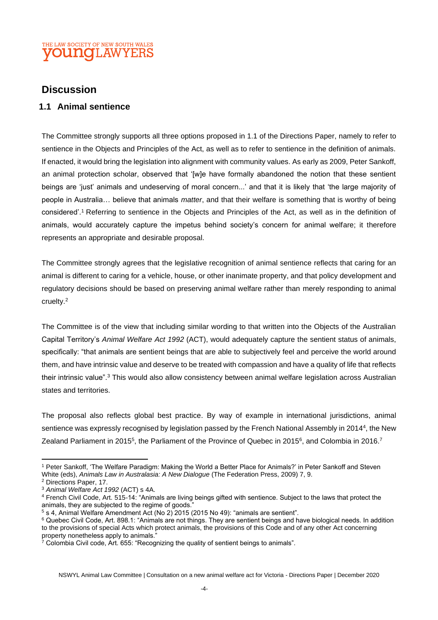#### THE LAW SOCIETY OF NEW SOUTH WALES **OUINOII.AW**

## **Discussion**

#### **1.1 Animal sentience**

The Committee strongly supports all three options proposed in 1.1 of the Directions Paper, namely to refer to sentience in the Objects and Principles of the Act, as well as to refer to sentience in the definition of animals. If enacted, it would bring the legislation into alignment with community values. As early as 2009, Peter Sankoff, an animal protection scholar, observed that '[w]e have formally abandoned the notion that these sentient beings are 'just' animals and undeserving of moral concern...' and that it is likely that 'the large majority of people in Australia… believe that animals *matter*, and that their welfare is something that is worthy of being considered'.<sup>1</sup> Referring to sentience in the Objects and Principles of the Act, as well as in the definition of animals, would accurately capture the impetus behind society's concern for animal welfare; it therefore represents an appropriate and desirable proposal.

The Committee strongly agrees that the legislative recognition of animal sentience reflects that caring for an animal is different to caring for a vehicle, house, or other inanimate property, and that policy development and regulatory decisions should be based on preserving animal welfare rather than merely responding to animal cruelty.<sup>2</sup>

The Committee is of the view that including similar wording to that written into the Objects of the Australian Capital Territory's *Animal Welfare Act 1992* (ACT), would adequately capture the sentient status of animals, specifically: "that animals are sentient beings that are able to subjectively feel and perceive the world around them, and have intrinsic value and deserve to be treated with compassion and have a quality of life that reflects their intrinsic value".<sup>3</sup> This would also allow consistency between animal welfare legislation across Australian states and territories.

The proposal also reflects global best practice. By way of example in international jurisdictions, animal sentience was expressly recognised by legislation passed by the French National Assembly in 2014<sup>4</sup>, the New Zealand Parliament in 2015<sup>5</sup>, the Parliament of the Province of Quebec in 2015<sup>6</sup>, and Colombia in 2016.<sup>7</sup>

<sup>1</sup> Peter Sankoff, 'The Welfare Paradigm: Making the World a Better Place for Animals?' in Peter Sankoff and Steven White (eds), *Animals Law in Australasia: A New Dialogue* (The Federation Press, 2009) 7, 9.

<sup>2</sup> Directions Paper, 17.

<sup>3</sup> *Animal Welfare Act 1992* (ACT) s 4A.

<sup>4</sup> French Civil Code, Art. 515-14: "Animals are living beings gifted with sentience. Subject to the laws that protect the animals, they are subjected to the regime of goods."

<sup>5</sup> s 4, Animal Welfare Amendment Act (No 2) 2015 (2015 No 49): "animals are sentient".

<sup>&</sup>lt;sup>6</sup> Quebec Civil Code, Art. 898.1: "Animals are not things. They are sentient beings and have biological needs. In addition to the provisions of special Acts which protect animals, the provisions of this Code and of any other Act concerning property nonetheless apply to animals."

<sup>&</sup>lt;sup>7</sup> Colombia Civil code, Art. 655: "Recognizing the quality of sentient beings to animals".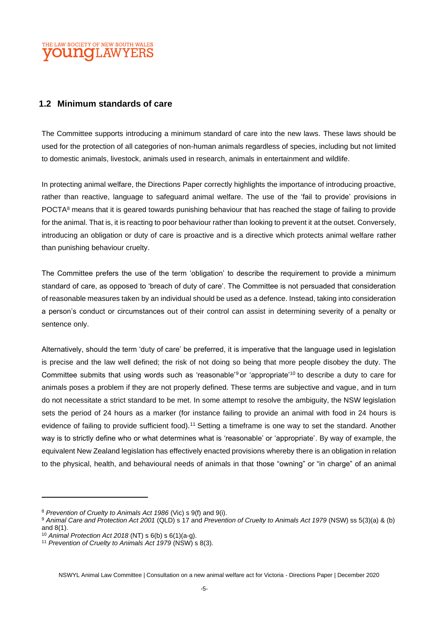#### THE LAW SOCIETY OF NEW SOUTH WALES **DUNOT AWYERS**

#### **1.2 Minimum standards of care**

The Committee supports introducing a minimum standard of care into the new laws. These laws should be used for the protection of all categories of non-human animals regardless of species, including but not limited to domestic animals, livestock, animals used in research, animals in entertainment and wildlife.

In protecting animal welfare, the Directions Paper correctly highlights the importance of introducing proactive, rather than reactive, language to safeguard animal welfare. The use of the 'fail to provide' provisions in POCTA<sup>8</sup> means that it is geared towards punishing behaviour that has reached the stage of failing to provide for the animal. That is, it is reacting to poor behaviour rather than looking to prevent it at the outset. Conversely, introducing an obligation or duty of care is proactive and is a directive which protects animal welfare rather than punishing behaviour cruelty.

The Committee prefers the use of the term 'obligation' to describe the requirement to provide a minimum standard of care, as opposed to 'breach of duty of care'. The Committee is not persuaded that consideration of reasonable measures taken by an individual should be used as a defence. Instead, taking into consideration a person's conduct or circumstances out of their control can assist in determining severity of a penalty or sentence only.

Alternatively, should the term 'duty of care' be preferred, it is imperative that the language used in legislation is precise and the law well defined; the risk of not doing so being that more people disobey the duty. The Committee submits that using words such as 'reasonable'<sup>9</sup> or 'appropriate'<sup>10</sup> to describe a duty to care for animals poses a problem if they are not properly defined. These terms are subjective and vague, and in turn do not necessitate a strict standard to be met. In some attempt to resolve the ambiguity, the NSW legislation sets the period of 24 hours as a marker (for instance failing to provide an animal with food in 24 hours is evidence of failing to provide sufficient food).<sup>11</sup> Setting a timeframe is one way to set the standard. Another way is to strictly define who or what determines what is 'reasonable' or 'appropriate'. By way of example, the equivalent New Zealand legislation has effectively enacted provisions whereby there is an obligation in relation to the physical, health, and behavioural needs of animals in that those "owning" or "in charge" of an animal

<sup>8</sup> *Prevention of Cruelty to Animals Act 1986* (Vic) s 9(f) and 9(i).

<sup>9</sup> *Animal Care and Protection Act 2001* (QLD) s 17 and *Prevention of Cruelty to Animals Act 1979* (NSW) ss 5(3)(a) & (b) and 8(1).

<sup>10</sup> *Animal Protection Act 2018* (NT) s 6(b) s 6(1)(a-g).

<sup>11</sup> *Prevention of Cruelty to Animals Act 1979* (NSW) s 8(3).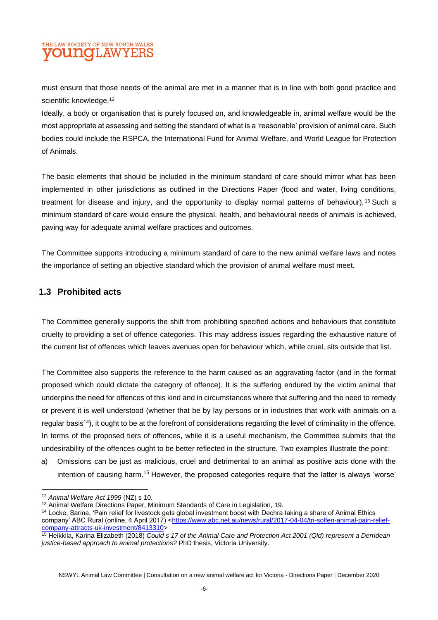## THE LAW SOCIETY OF NEW SOUTH WALES **OUNQLAWYERS**

must ensure that those needs of the animal are met in a manner that is in line with both good practice and scientific knowledge.<sup>12</sup>

Ideally, a body or organisation that is purely focused on, and knowledgeable in, animal welfare would be the most appropriate at assessing and setting the standard of what is a 'reasonable' provision of animal care. Such bodies could include the RSPCA, the International Fund for Animal Welfare, and World League for Protection of Animals.

The basic elements that should be included in the minimum standard of care should mirror what has been implemented in other jurisdictions as outlined in the Directions Paper (food and water, living conditions, treatment for disease and injury, and the opportunity to display normal patterns of behaviour). <sup>13</sup> Such a minimum standard of care would ensure the physical, health, and behavioural needs of animals is achieved, paving way for adequate animal welfare practices and outcomes.

The Committee supports introducing a minimum standard of care to the new animal welfare laws and notes the importance of setting an objective standard which the provision of animal welfare must meet.

#### **1.3 Prohibited acts**

The Committee generally supports the shift from prohibiting specified actions and behaviours that constitute cruelty to providing a set of offence categories. This may address issues regarding the exhaustive nature of the current list of offences which leaves avenues open for behaviour which, while cruel, sits outside that list.

The Committee also supports the reference to the harm caused as an aggravating factor (and in the format proposed which could dictate the category of offence). It is the suffering endured by the victim animal that underpins the need for offences of this kind and in circumstances where that suffering and the need to remedy or prevent it is well understood (whether that be by lay persons or in industries that work with animals on a regular basis<sup>14</sup>), it ought to be at the forefront of considerations regarding the level of criminality in the offence. In terms of the proposed tiers of offences, while it is a useful mechanism, the Committee submits that the undesirability of the offences ought to be better reflected in the structure. Two examples illustrate the point:

a) Omissions can be just as malicious, cruel and detrimental to an animal as positive acts done with the intention of causing harm.<sup>15</sup> However, the proposed categories require that the latter is always 'worse'

NSWYL Animal Law Committee | Consultation on a new animal welfare act for Victoria - Directions Paper | December 2020

<sup>12</sup> *Animal Welfare Act 1999* (NZ) s 10.

<sup>13</sup> Animal Welfare Directions Paper, Minimum Standards of Care in Legislation, 19.

<sup>&</sup>lt;sup>14</sup> Locke, Sarina, 'Pain relief for livestock gets global investment boost with Dechra taking a share of Animal Ethics company' ABC Rural (online, 4 April 2017) [<https://www.abc.net.au/news/rural/2017-04-04/tri-solfen-animal-pain-relief](https://www.abc.net.au/news/rural/2017-04-04/tri-solfen-animal-pain-relief-company-attracts-uk-investment/8413310)[company-attracts-uk-investment/8413310>](https://www.abc.net.au/news/rural/2017-04-04/tri-solfen-animal-pain-relief-company-attracts-uk-investment/8413310)

<sup>15</sup> Heikkila, Karina Elizabeth (2018) *Could s 17 of the Animal Care and Protection Act 2001 (Qld) represent a Derridean justice-based approach to animal protections?* PhD thesis, Victoria University.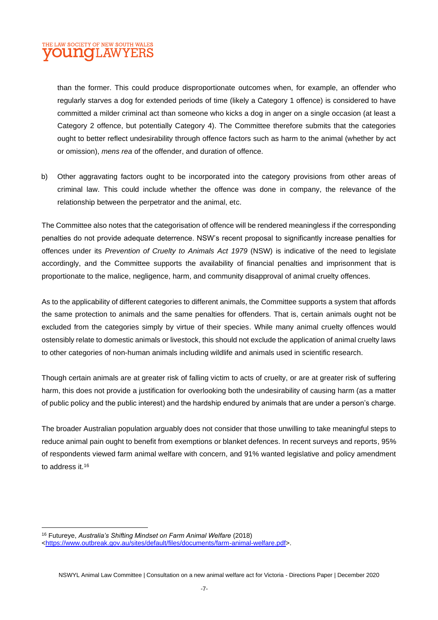## THE LAW SOCIETY OF NEW SOUTH WALES **OUNGLAWYERS**

than the former. This could produce disproportionate outcomes when, for example, an offender who regularly starves a dog for extended periods of time (likely a Category 1 offence) is considered to have committed a milder criminal act than someone who kicks a dog in anger on a single occasion (at least a Category 2 offence, but potentially Category 4). The Committee therefore submits that the categories ought to better reflect undesirability through offence factors such as harm to the animal (whether by act or omission), *mens rea* of the offender, and duration of offence.

b) Other aggravating factors ought to be incorporated into the category provisions from other areas of criminal law. This could include whether the offence was done in company, the relevance of the relationship between the perpetrator and the animal, etc.

The Committee also notes that the categorisation of offence will be rendered meaningless if the corresponding penalties do not provide adequate deterrence. NSW's recent proposal to significantly increase penalties for offences under its *Prevention of Cruelty to Animals Act 1979* (NSW) is indicative of the need to legislate accordingly, and the Committee supports the availability of financial penalties and imprisonment that is proportionate to the malice, negligence, harm, and community disapproval of animal cruelty offences.

As to the applicability of different categories to different animals, the Committee supports a system that affords the same protection to animals and the same penalties for offenders. That is, certain animals ought not be excluded from the categories simply by virtue of their species. While many animal cruelty offences would ostensibly relate to domestic animals or livestock, this should not exclude the application of animal cruelty laws to other categories of non-human animals including wildlife and animals used in scientific research.

Though certain animals are at greater risk of falling victim to acts of cruelty, or are at greater risk of suffering harm, this does not provide a justification for overlooking both the undesirability of causing harm (as a matter of public policy and the public interest) and the hardship endured by animals that are under a person's charge.

The broader Australian population arguably does not consider that those unwilling to take meaningful steps to reduce animal pain ought to benefit from exemptions or blanket defences. In recent surveys and reports, 95% of respondents viewed farm animal welfare with concern, and 91% wanted legislative and policy amendment to address it.<sup>16</sup>

<sup>16</sup> Futureye, *Australia's Shifting Mindset on Farm Animal Welfare* (2018)

[<sup>&</sup>lt;https://www.outbreak.gov.au/sites/default/files/documents/farm-animal-welfare.pdf>](https://www.outbreak.gov.au/sites/default/files/documents/farm-animal-welfare.pdf).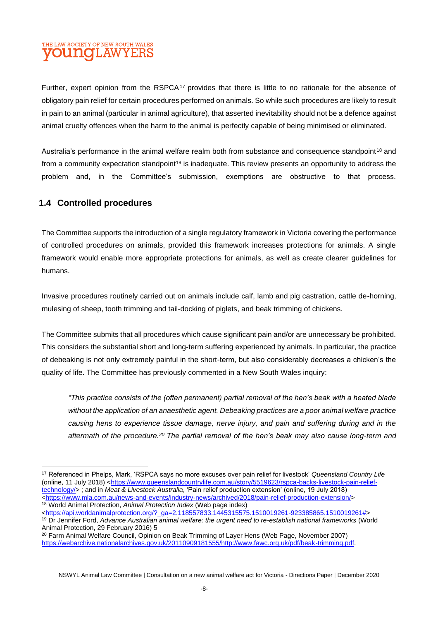### THE LAW SOCIETY OF NEW SOUTH WALES **OUNCLAWYERS**

Further, expert opinion from the RSPCA<sup>17</sup> provides that there is little to no rationale for the absence of obligatory pain relief for certain procedures performed on animals. So while such procedures are likely to result in pain to an animal (particular in animal agriculture), that asserted inevitability should not be a defence against animal cruelty offences when the harm to the animal is perfectly capable of being minimised or eliminated.

Australia's performance in the animal welfare realm both from substance and consequence standpoint<sup>18</sup> and from a community expectation standpoint<sup>19</sup> is inadequate. This review presents an opportunity to address the problem and, in the Committee's submission, exemptions are obstructive to that process.

#### **1.4 Controlled procedures**

The Committee supports the introduction of a single regulatory framework in Victoria covering the performance of controlled procedures on animals, provided this framework increases protections for animals. A single framework would enable more appropriate protections for animals, as well as create clearer guidelines for humans.

Invasive procedures routinely carried out on animals include calf, lamb and pig castration, cattle de-horning, mulesing of sheep, tooth trimming and tail-docking of piglets, and beak trimming of chickens.

The Committee submits that all procedures which cause significant pain and/or are unnecessary be prohibited. This considers the substantial short and long-term suffering experienced by animals. In particular, the practice of debeaking is not only extremely painful in the short-term, but also considerably decreases a chicken's the quality of life. The Committee has previously commented in a New South Wales inquiry:

*"This practice consists of the (often permanent) partial removal of the hen's beak with a heated blade without the application of an anaesthetic agent. Debeaking practices are a poor animal welfare practice causing hens to experience tissue damage, nerve injury, and pain and suffering during and in the aftermath of the procedure.<sup>20</sup> The partial removal of the hen's beak may also cause long-term and* 

<sup>17</sup> Referenced in Phelps, Mark, 'RSPCA says no more excuses over pain relief for livestock' *Queensland Country Life* (online, 11 July 2018) [<https://www.queenslandcountrylife.com.au/story/5519623/rspca-backs-livestock-pain-relief](https://www.queenslandcountrylife.com.au/story/5519623/rspca-backs-livestock-pain-relief-technology/)[technology/>](https://www.queenslandcountrylife.com.au/story/5519623/rspca-backs-livestock-pain-relief-technology/) ; and in *Meat & Livestock Australia*, 'Pain relief production extension' (online, 19 July 2018) [<https://www.mla.com.au/news-and-events/industry-news/archived/2018/pain-relief-production-extension/>](https://www.mla.com.au/news-and-events/industry-news/archived/2018/pain-relief-production-extension/) <sup>18</sup> World Animal Protection, *Animal Protection Index* (Web page index)

[<sup>&</sup>lt;https://api.worldanimalprotection.org/?\\_ga=2.118557833.1445315575.1510019261-923385865.1510019261#>](https://api.worldanimalprotection.org/?_ga=2.118557833.1445315575.1510019261-923385865.1510019261) <sup>19</sup> Dr Jennifer Ford, *Advance Australian animal welfare: the urgent need to re-establish national frameworks* (World Animal Protection, 29 February 2016) 5

<sup>20</sup> Farm Animal Welfare Council, Opinion on Beak Trimming of Layer Hens (Web Page, November 2007) [https://webarchive.nationalarchives.gov.uk/20110909181555/http://www.fawc.org.uk/pdf/beak-trimming.pdf.](https://webarchive.nationalarchives.gov.uk/20110909181555/http:/www.fawc.org.uk/pdf/beak-trimming.pdf)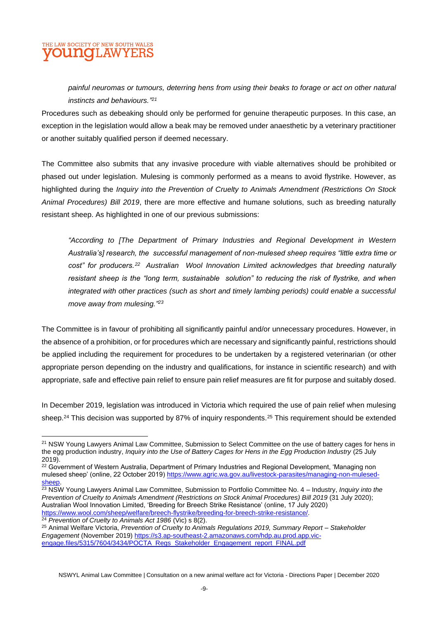### THE LAW SOCIETY OF NEW SOUTH WALES **OUNCLAWYERS**

*painful neuromas or tumours, deterring hens from using their beaks to forage or act on other natural instincts and behaviours." 21*

Procedures such as debeaking should only be performed for genuine therapeutic purposes. In this case, an exception in the legislation would allow a beak may be removed under anaesthetic by a veterinary practitioner or another suitably qualified person if deemed necessary.

The Committee also submits that any invasive procedure with viable alternatives should be prohibited or phased out under legislation. Mulesing is commonly performed as a means to avoid flystrike. However, as highlighted during the *Inquiry into the Prevention of Cruelty to Animals Amendment (Restrictions On Stock Animal Procedures) Bill 2019*, there are more effective and humane solutions, such as breeding naturally resistant sheep. As highlighted in one of our previous submissions:

*"According to [The Department of Primary Industries and Regional Development in Western Australia's] research, the successful management of non-mulesed sheep requires "little extra time or cost" for producers.<sup>22</sup> Australian Wool Innovation Limited acknowledges that breeding naturally resistant sheep is the "long term, sustainable solution" to reducing the risk of flystrike, and when integrated with other practices (such as short and timely lambing periods) could enable a successful move away from mulesing." 23*

The Committee is in favour of prohibiting all significantly painful and/or unnecessary procedures. However, in the absence of a prohibition, or for procedures which are necessary and significantly painful, restrictions should be applied including the requirement for procedures to be undertaken by a registered veterinarian (or other appropriate person depending on the industry and qualifications, for instance in scientific research) and with appropriate, safe and effective pain relief to ensure pain relief measures are fit for purpose and suitably dosed.

In December 2019, legislation was introduced in Victoria which required the use of pain relief when mulesing sheep.<sup>24</sup> This decision was supported by 87% of inquiry respondents.<sup>25</sup> This requirement should be extended

<sup>&</sup>lt;sup>21</sup> NSW Young Lawyers Animal Law Committee, Submission to Select Committee on the use of battery cages for hens in the egg production industry, *Inquiry into the Use of Battery Cages for Hens in the Egg Production Industry* (25 July 2019).

<sup>&</sup>lt;sup>22</sup> Government of Western Australia, Department of Primary Industries and Regional Development, 'Managing non mulesed sheep' (online, 22 October 2019) [https://www.agric.wa.gov.au/livestock-parasites/managing-non-mulesed](https://www.agric.wa.gov.au/livestock-parasites/managing-non-mulesed-sheep)[sheep.](https://www.agric.wa.gov.au/livestock-parasites/managing-non-mulesed-sheep)

<sup>23</sup> NSW Young Lawyers Animal Law Committee, Submission to Portfolio Committee No. 4 – Industry, *Inquiry into the Prevention of Cruelty to Animals Amendment (Restrictions on Stock Animal Procedures) Bill 2019* (31 July 2020); Australian Wool Innovation Limited, 'Breeding for Breech Strike Resistance' (online, 17 July 2020) [https://www.wool.com/sheep/welfare/breech-flystrike/breeding-for-breech-strike-resistance/.](https://www.wool.com/sheep/welfare/breech-flystrike/breeding-for-breech-strike-resistance/)

<sup>24</sup> *Prevention of Cruelty to Animals Act 1986* (Vic) s 8(2).

<sup>25</sup> Animal Welfare Victoria, *Prevention of Cruelty to Animals Regulations 2019, Summary Report – Stakeholder Engagement* (November 2019) [https://s3.ap-southeast-2.amazonaws.com/hdp.au.prod.app.vic](https://s3.ap-southeast-2.amazonaws.com/hdp.au.prod.app.vic-engage.files/5315/7604/3434/POCTA_Regs_Stakeholder_Engagement_report_FINAL.pdf)[engage.files/5315/7604/3434/POCTA\\_Regs\\_Stakeholder\\_Engagement\\_report\\_FINAL.pdf](https://s3.ap-southeast-2.amazonaws.com/hdp.au.prod.app.vic-engage.files/5315/7604/3434/POCTA_Regs_Stakeholder_Engagement_report_FINAL.pdf)